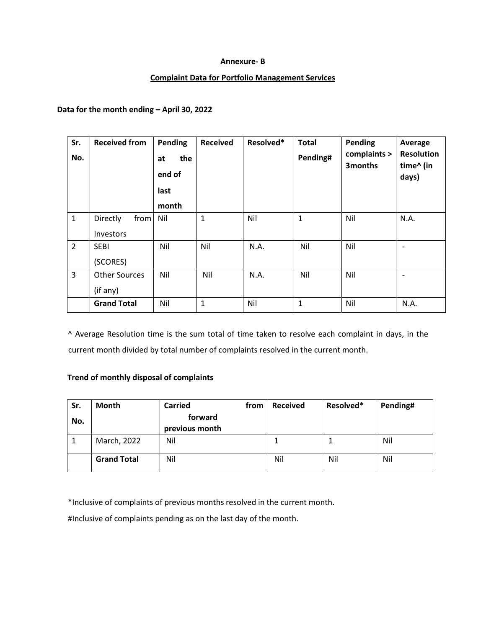#### **Annexure- B**

#### **Complaint Data for Portfolio Management Services**

### **Data for the month ending – April 30, 2022**

| Sr.<br>No.     | <b>Received from</b>                 | Pending<br>the<br>at<br>end of<br>last<br>month | <b>Received</b> | Resolved* | <b>Total</b><br>Pending# | <b>Pending</b><br>complaints ><br>3months | Average<br><b>Resolution</b><br>time^ (in<br>days) |
|----------------|--------------------------------------|-------------------------------------------------|-----------------|-----------|--------------------------|-------------------------------------------|----------------------------------------------------|
| $\mathbf 1$    | from<br>Directly<br><b>Investors</b> | Nil                                             | $\mathbf{1}$    | Nil       | $\mathbf{1}$             | Nil                                       | N.A.                                               |
| $\overline{2}$ | <b>SEBI</b><br>(SCORES)              | Nil                                             | Nil             | N.A.      | Nil                      | Nil                                       | $\overline{\phantom{a}}$                           |
| 3              | <b>Other Sources</b><br>(if any)     | Nil                                             | Nil             | N.A.      | Nil                      | Nil                                       | $\overline{\phantom{a}}$                           |
|                | <b>Grand Total</b>                   | Nil                                             | $\mathbf{1}$    | Nil       | 1                        | Nil                                       | N.A.                                               |

^ Average Resolution time is the sum total of time taken to resolve each complaint in days, in the current month divided by total number of complaints resolved in the current month.

## **Trend of monthly disposal of complaints**

| Sr. | Month              | <b>Carried</b> | from | <b>Received</b> | Resolved* | Pending# |
|-----|--------------------|----------------|------|-----------------|-----------|----------|
| No. |                    | forward        |      |                 |           |          |
|     |                    | previous month |      |                 |           |          |
|     | March, 2022        | Nil            |      |                 |           | Nil      |
|     | <b>Grand Total</b> | Nil            |      | Nil             | Nil       | Nil      |

\*Inclusive of complaints of previous months resolved in the current month.

#Inclusive of complaints pending as on the last day of the month.